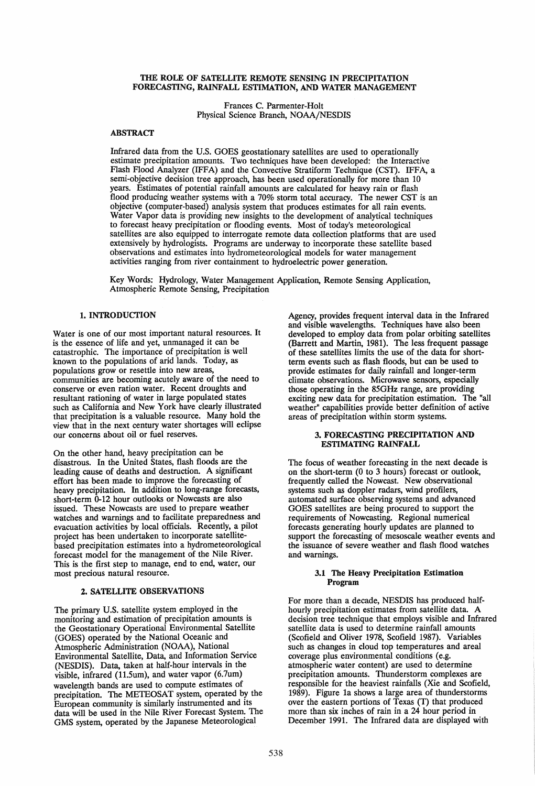## THE ROLE OF SATELLITE REMOTE SENSING IN PRECIPITATION FORECASTING, RAINFALL ESTIMATION, AND WATER MANAGEMENT

Frances C. Parmenter-Holt Physical Science Branch, NOAA/NESDIS

# ABSTRACT

Infrared data from the U.S. GOES geostationary satellites are used to operationally estimate precipitation amounts. Two techniques have been developed: the Interactive Flash Flood Analyzer (IFFA) and the Convective Stratiform Technique (CST). IFFA, a semi-objective decision tree approach, has been used operationally for more than 10 years. Estimates of potential rainfall amounts are calculated for heavy rain or flash flood producing weather systems with a 70% storm total accuracy. The newer CST is an objective (computer-based) analysis system that produces estimates for all rain events. Water Vapor data is providing new insights to the development of analytical techniques to forecast heavy precipitation or flooding events. Most of today's meteorological satellites are also equipped to interrogate remote data collection platforms that are used extensively by hydrologists. Programs are underway to incorporate these satellite based observations and estimates into hydrometeorological models for water management activities ranging from river containment to hydroelectric power generation.

Key Words: Hydrology, Water Management Application, Remote Sensing Application, Atmospheric Remote Sensing, Precipitation

## 1. INTRODUCTION

Water is one of our most important natural resources. It is the essence of life and yet, unmanaged it can be catastrophic. The importance of precipitation is well known to the populations of arid lands. Today, as populations grow or resettle into new areas, communities are becoming acutely aware of the need to conserve or even ration water. Recent droughts and resultant rationing of water in large populated states such as California and New York have clearly illustrated that precipitation is a valuable resource. Many hold the view that in the next century water shortages will eclipse our concerns about oil or fuel reserves.

On the other hand, heavy precipitation can be disastrous. In the United States, flash floods are the leading cause of deaths and destruction. A significant effort has been made to improve the forecasting of heavy precipitation. In addition to long-range forecasts, short-term 0-12 hour outlooks or Nowcasts are also issued. These Nowcasts are used to prepare weather watches and warnings and to facilitate preparedness and evacuation activities by local officials. Recently, a pilot project has been undertaken to incorporate satellitebased precipitation estimates into a hydrometeorological forecast model for the management of the Nile River. This is the first step to manage, end to end, water, our most precious natural resource.

# 2. SATELLITE OBSERVATIONS

The primary U.S. satellite system employed in the monitoring and estimation of precipitation amounts is the Geostationary Operational Environmental Satellite (GOES) operated by the National Oceanic and Atmospheric Administration (NOAA), National Environmental Satellite, Data, and Information Service (NESDIS). Data, taken at half-hour intervals in the visible, infrared (11.5um), and water vapor (6.7um) wavelength bands are used to compute estimates of precipitation. The METEOSAT system, operated by the European community is similarly instrumented and its data will be used in the Nile River Forecast System. The GMS system, operated by the Japanese Meteorological

Agency, provides frequent interval data in the Infrared and visible wavelengths. Techniques have also been developed to employ data from polar orbiting satellites (Barrett and Martin, 1981). The less frequent passage of these satellites limits the use of the data for shortterm events such as flash floods, but can be used to provide estimates for daily rainfall and longer-term climate observations. Microwave sensors, especially those operating in the 85GHz range, are providing exciting new data for precipitation estimation. The "all weather" capabilities provide better definition of active areas of precipitation within storm systems.

### 3. FORECASTING PRECIPITATION AND ESTIMATING RAINFALL

The focus of weather forecasting in the next decade is on the short-term (0 to 3 hours) forecast or outlook, frequently called the Nowcast. New observational systems such as doppler radars, wind profilers, automated surface observing systems and advanced GOES satellites are being procured to support the requirements of Nowcasting. Regional numerical forecasts generating hourly updates are planned to support the forecasting of mesoscale weather events and the issuance of severe weather and flash flood watches and warnings.

### 3.1 The Heavy Precipitation Estimation Program

For more than a decade, NESDIS has produced halfhourly precipitation estimates from satellite data. A decision tree technique that employs visible and Infrared satellite data is used to determine rainfall amounts (Scofield and Oliver 1978, Scofield 1987). Variables such as changes in cloud top temperatures and areal coverage plus environmental conditions (e.g. atmospheric water content) are used to determine precipitation amounts. Thunderstorm complexes are responsible for the heaviest rainfalls (Xie and Scofield, 1989). Figure 1a shows a large area of thunderstorms over the eastern portions of Texas (T) that produced more than six inches of rain in a 24 hour period in December 1991. The Infrared data are displayed with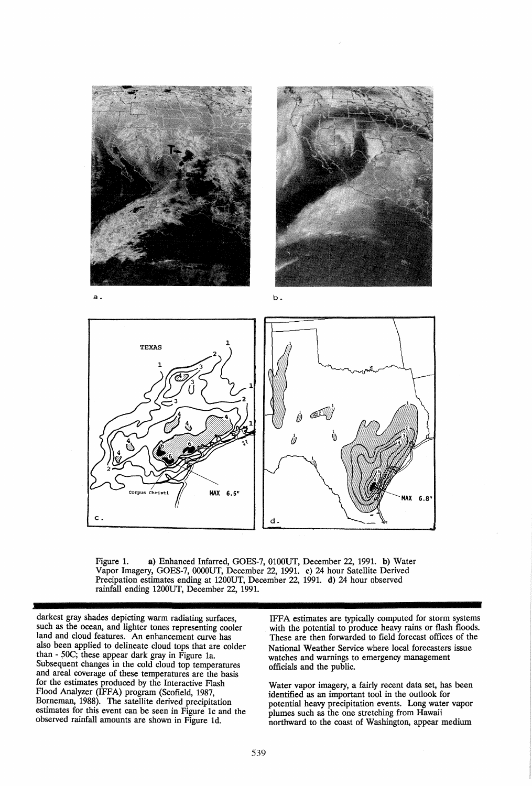



TEXAS ģ MAX  $6.5"$ MAX 6.8"  $\ddot{\mathbf{c}}$  . d



darkest gray shades depicting warm radiating surfaces, such as the ocean, and lighter tones representing cooler land and cloud features. An enhancement curve has also been applied to delineate cloud tops that are colder than - SOC; these appear dark gray in Figure la. Subsequent changes in the cold cloud top temperatures and areal coverage of these temperatures are the basis for the estimates produced by the Interactive Flash Flood Analyzer (IFFA) program (Scofield, 1987, Borneman, 1988). The satellite derived precipitation estimates for this event can be seen in Figure lc and the observed rainfall amounts are shown in Figure Id.

IFFA estimates are typically computed for storm systems with the potential to produce heavy rains or flash floods. These are then forwarded to field forecast offices of the National Weather Service where local forecasters issue watches and warnings to emergency management officials and the public.

Water vapor imagery, a fairly recent data set, has been identified as an important tool in the outlook for potential heavy precipitation events. Long water vapor plumes such as the one stretching from Hawaii northward to the coast of Washington, appear medium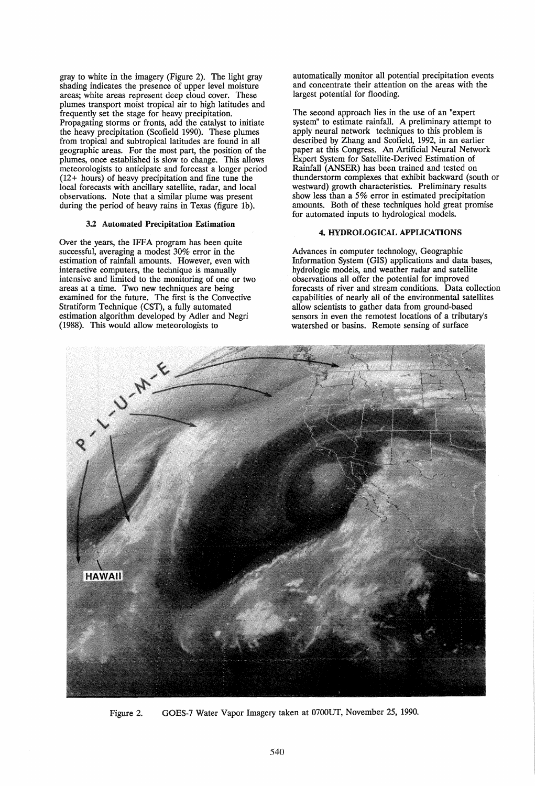gray to white in the imagery (Figure 2). The light gray shading indicates the presence of upper level moisture areas; white areas represent deep cloud cover. These plumes transport moist tropical air to high latitudes and frequently set the stage for heavy precipitation. Propagating storms or fronts, add the catalyst to initiate the heavy precipitation (Scofield 1990). These plumes from tropical and subtropical latitudes are found in all geographic areas. For the most part, the position of the plumes, once established is slow to change. This allows meteorologists to anticipate and forecast a longer period (12+ hours) of heavy precipitation and fine tune the local forecasts with ancillary satellite, radar, and local observations. Note that a similar plume was present during the period of heavy rains in Texas (figure **1b).** 

# 3.2 Automated Precipitation Estimation

Over the years, the IFFA program has been quite successful, averaging a modest 30% error in the estimation of rainfall amounts. However, even with interactive computers, the technique is manually intensive and limited to the monitoring of one or two areas at a time. Two new techniques are being examined for the future. The first is the Convective Stratiform Technique (CST), a fully automated estimation algorithm developed by Adler and Negri (1988). This would allow meteorologists to

automatically monitor all potential precipitation events and concentrate their attention on the areas with the largest potential for flooding.

The second approach lies in the use of an "expert system" to estimate rainfall. A preliminary attempt to apply neural network techniques to this problem is described by Zhang and Scofield, 1992, in an earlier paper at this Congress. An Artificial Neural Network Expert System for Satellite-Derived Estimation of Rainfall (ANSER) has been trained and tested on thunderstorm complexes that exhibit backward (south or westward) growth characteristics. Preliminary results show less than a 5% error in estimated precipitation amounts. Both of these techniques hold great promise for automated inputs to hydrological models.

# 4. HYDROLOGICAL APPLICATIONS

Advances in computer technology, Geographic Information System (GIS) applications and data bases, hydrologic models, and weather radar and satellite observations all offer the potential for improved forecasts of river and stream conditions. Data collection capabilities of nearly all of the environmental satellites allow scientists to gather data from ground-based sensors in even the remotest locations of a tributary's watershed or basins. Remote sensing of surface



Figure 2. GOES-7 Water Vapor Imagery taken at 0700UT, November 25, 1990.